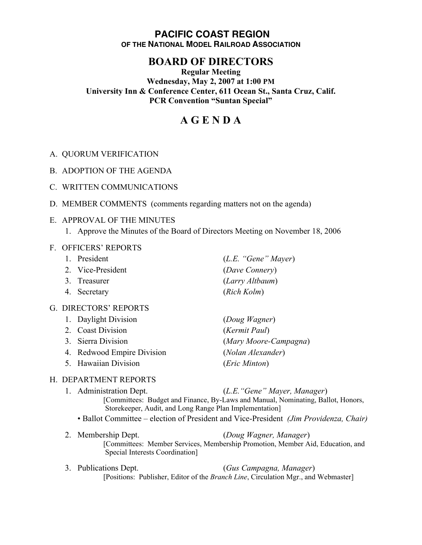# **PACIFIC COAST REGION OF THE NATIONAL MODEL RAILROAD ASSOCIATION**

# **BOARD OF DIRECTORS**

## **Regular Meeting Wednesday, May 2, 2007 at 1:00 PM University Inn & Conference Center, 611 Ocean St., Santa Cruz, Calif. PCR Convention "Suntan Special"**

# **A G E N D A**

- A. QUORUM VERIFICATION
- B. ADOPTION OF THE AGENDA
- C. WRITTEN COMMUNICATIONS
- D. MEMBER COMMENTS (comments regarding matters not on the agenda)

#### E. APPROVAL OF THE MINUTES

1. Approve the Minutes of the Board of Directors Meeting on November 18, 2006

#### F. OFFICERS' REPORTS

- 1. President (*L.E. "Gene" Mayer*) 2. Vice-President (*Dave Connery*) 3. Treasurer (*Larry Altbaum*) 4. Secretary (*Rich Kolm*) G. DIRECTORS' REPORTS 1. Daylight Division (*Doug Wagner*) 2. Coast Division (*Kermit Paul*) 3. Sierra Division (*Mary Moore-Campagna*)
	- 4. Redwood Empire Division (*Nolan Alexander*)
	- 5. Hawaiian Division (*Eric Minton*)

## H. DEPARTMENT REPORTS

- 1. Administration Dept. (*L.E."Gene" Mayer, Manager*) [Committees: Budget and Finance, By-Laws and Manual, Nominating, Ballot, Honors, Storekeeper, Audit, and Long Range Plan Implementation] • Ballot Committee – election of President and Vice-President *(Jim Providenza, Chair)*
	-
- 2. Membership Dept. (*Doug Wagner, Manager*) [Committees: Member Services, Membership Promotion, Member Aid, Education, and Special Interests Coordination]
- 3. Publications Dept. (*Gus Campagna, Manager*) [Positions: Publisher, Editor of the *Branch Line*, Circulation Mgr., and Webmaster]